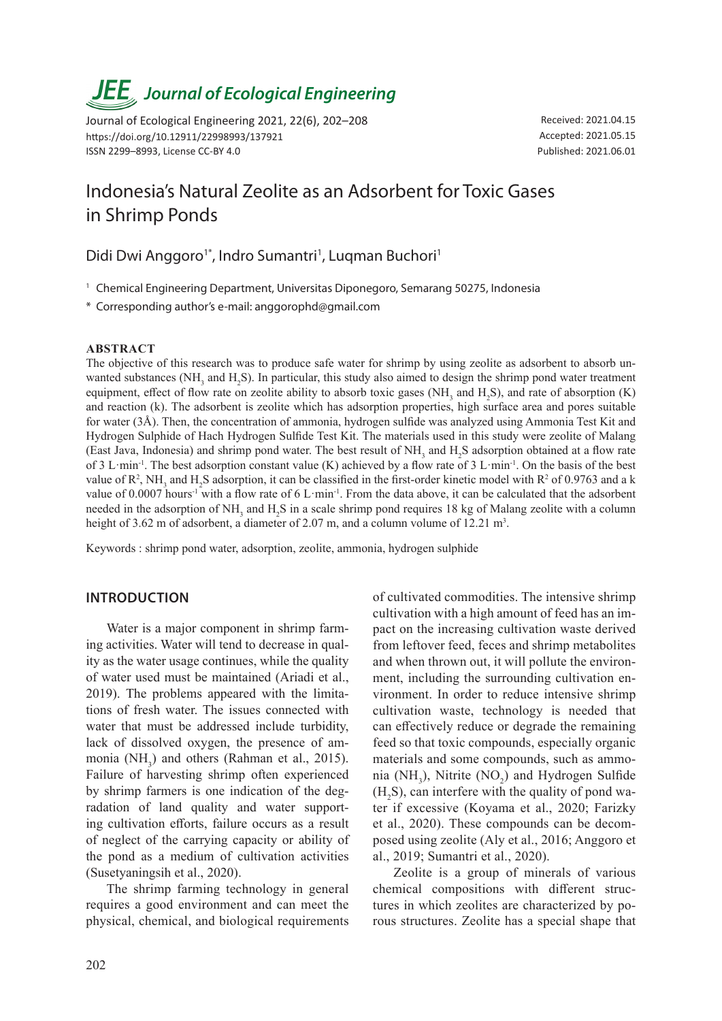# *JEE<sub>,</sub> Journal of Ecological Engineering*

Journal of Ecological Engineering 2021, 22(6), 202–208 https://doi.org/10.12911/22998993/137921 ISSN 2299–8993, License CC-BY 4.0

Received: 2021.04.15 Accepted: 2021.05.15 Published: 2021.06.01

# Indonesia's Natural Zeolite as an Adsorbent for Toxic Gases in Shrimp Ponds

Didi Dwi Anggoro<sup>1\*</sup>, Indro Sumantri<sup>1</sup>, Luqman Buchori<sup>1</sup>

<sup>1</sup> Chemical Engineering Department, Universitas Diponegoro, Semarang 50275, Indonesia

\* Corresponding author's e-mail: anggorophd@gmail.com

#### **ABSTRACT**

The objective of this research was to produce safe water for shrimp by using zeolite as adsorbent to absorb unwanted substances (NH<sub>3</sub> and H<sub>2</sub>S). In particular, this study also aimed to design the shrimp pond water treatment equipment, effect of flow rate on zeolite ability to absorb toxic gases (NH<sub>3</sub> and H<sub>2</sub>S), and rate of absorption (K) and reaction (k). The adsorbent is zeolite which has adsorption properties, high surface area and pores suitable for water (3Å). Then, the concentration of ammonia, hydrogen sulfide was analyzed using Ammonia Test Kit and Hydrogen Sulphide of Hach Hydrogen Sulfide Test Kit. The materials used in this study were zeolite of Malang (East Java, Indonesia) and shrimp pond water. The best result of  $NH_3$  and  $H_2S$  adsorption obtained at a flow rate of 3 L·min<sup>-1</sup>. The best adsorption constant value (K) achieved by a flow rate of 3 L·min<sup>-1</sup>. On the basis of the best value of  $R^2$ , NH<sub>3</sub> and H<sub>2</sub>S adsorption, it can be classified in the first-order kinetic model with  $R^2$  of 0.9763 and a k value of 0.0007 hours<sup>-1</sup> with a flow rate of 6 L·min<sup>-1</sup>. From the data above, it can be calculated that the adsorbent needed in the adsorption of NH<sub>3</sub> and H<sub>2</sub>S in a scale shrimp pond requires 18 kg of Malang zeolite with a column height of 3.62 m of adsorbent, a diameter of 2.07 m, and a column volume of 12.21 m<sup>3</sup>.

Keywords : shrimp pond water, adsorption, zeolite, ammonia, hydrogen sulphide

# **INTRODUCTION**

Water is a major component in shrimp farming activities. Water will tend to decrease in quality as the water usage continues, while the quality of water used must be maintained (Ariadi et al., 2019). The problems appeared with the limitations of fresh water. The issues connected with water that must be addressed include turbidity, lack of dissolved oxygen, the presence of ammonia  $(NH_3)$  and others (Rahman et al., 2015). Failure of harvesting shrimp often experienced by shrimp farmers is one indication of the degradation of land quality and water supporting cultivation efforts, failure occurs as a result of neglect of the carrying capacity or ability of the pond as a medium of cultivation activities (Susetyaningsih et al., 2020).

The shrimp farming technology in general requires a good environment and can meet the physical, chemical, and biological requirements

of cultivated commodities. The intensive shrimp cultivation with a high amount of feed has an impact on the increasing cultivation waste derived from leftover feed, feces and shrimp metabolites and when thrown out, it will pollute the environment, including the surrounding cultivation environment. In order to reduce intensive shrimp cultivation waste, technology is needed that can effectively reduce or degrade the remaining feed so that toxic compounds, especially organic materials and some compounds, such as ammonia (NH<sub>3</sub>), Nitrite (NO<sub>2</sub>) and Hydrogen Sulfide  $(H_2S)$ , can interfere with the quality of pond water if excessive (Koyama et al., 2020; Farizky et al., 2020). These compounds can be decomposed using zeolite (Aly et al., 2016; Anggoro et al., 2019; Sumantri et al., 2020).

Zeolite is a group of minerals of various chemical compositions with different structures in which zeolites are characterized by porous structures. Zeolite has a special shape that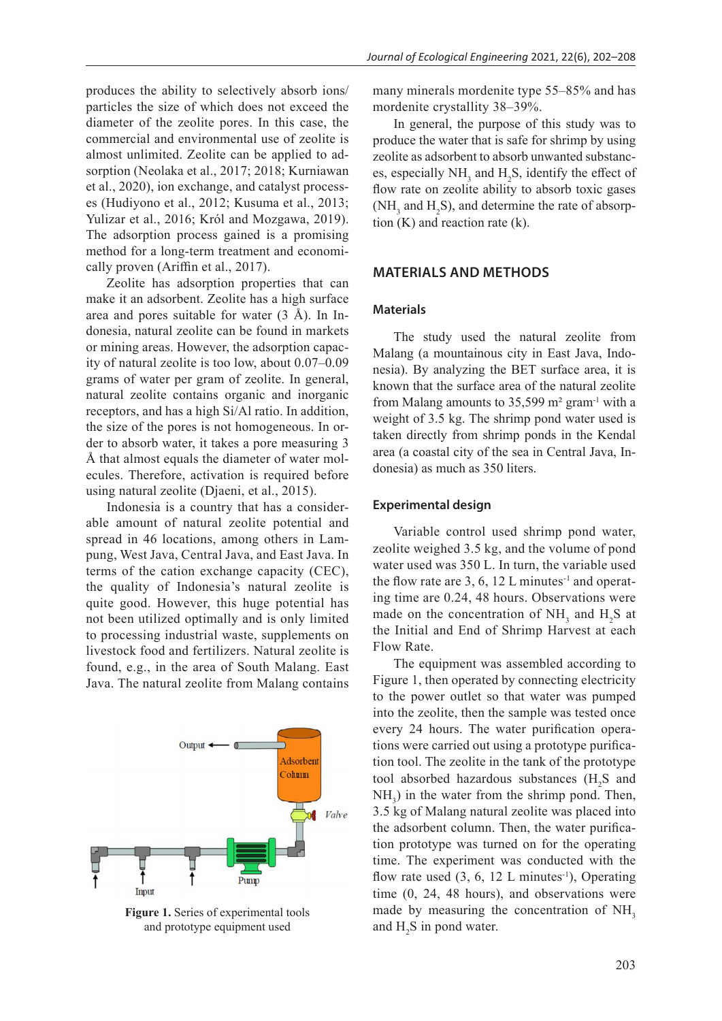produces the ability to selectively absorb ions/ particles the size of which does not exceed the diameter of the zeolite pores. In this case, the commercial and environmental use of zeolite is almost unlimited. Zeolite can be applied to adsorption (Neolaka et al., 2017; 2018; Kurniawan et al., 2020), ion exchange, and catalyst processes (Hudiyono et al., 2012; Kusuma et al., 2013; Yulizar et al., 2016; Król and Mozgawa, 2019). The adsorption process gained is a promising method for a long-term treatment and economically proven (Ariffin et al., 2017).

Zeolite has adsorption properties that can make it an adsorbent. Zeolite has a high surface area and pores suitable for water (3 Å). In Indonesia, natural zeolite can be found in markets or mining areas. However, the adsorption capacity of natural zeolite is too low, about 0.07–0.09 grams of water per gram of zeolite. In general, natural zeolite contains organic and inorganic receptors, and has a high Si/Al ratio. In addition, the size of the pores is not homogeneous. In order to absorb water, it takes a pore measuring 3 Å that almost equals the diameter of water molecules. Therefore, activation is required before using natural zeolite (Djaeni, et al., 2015).

Indonesia is a country that has a considerable amount of natural zeolite potential and spread in 46 locations, among others in Lampung, West Java, Central Java, and East Java. In terms of the cation exchange capacity (CEC), the quality of Indonesia's natural zeolite is quite good. However, this huge potential has not been utilized optimally and is only limited to processing industrial waste, supplements on livestock food and fertilizers. Natural zeolite is found, e.g., in the area of South Malang. East Java. The natural zeolite from Malang contains



**Figure 1.** Series of experimental tools and prototype equipment used

many minerals mordenite type 55–85% and has mordenite crystallity 38–39%.

In general, the purpose of this study was to produce the water that is safe for shrimp by using zeolite as adsorbent to absorb unwanted substances, especially  $NH<sub>3</sub>$  and  $H<sub>2</sub>S$ , identify the effect of flow rate on zeolite ability to absorb toxic gases (NH<sub>3</sub> and H<sub>2</sub>S), and determine the rate of absorption  $(K)$  and reaction rate  $(k)$ .

# **MATERIALS AND METHODS**

#### **Materials**

The study used the natural zeolite from Malang (a mountainous city in East Java, Indonesia). By analyzing the BET surface area, it is known that the surface area of the natural zeolite from Malang amounts to  $35,599$  m<sup>2</sup> gram<sup>-1</sup> with a weight of 3.5 kg. The shrimp pond water used is taken directly from shrimp ponds in the Kendal area (a coastal city of the sea in Central Java, Indonesia) as much as 350 liters.

#### **Experimental design**

Variable control used shrimp pond water, zeolite weighed 3.5 kg, and the volume of pond water used was 350 L. In turn, the variable used the flow rate are 3, 6, 12 L minutes<sup>-1</sup> and operating time are 0.24, 48 hours. Observations were made on the concentration of  $NH_3$  and  $H_2S$  at the Initial and End of Shrimp Harvest at each Flow Rate.

The equipment was assembled according to Figure 1, then operated by connecting electricity to the power outlet so that water was pumped into the zeolite, then the sample was tested once every 24 hours. The water purification operations were carried out using a prototype purification tool. The zeolite in the tank of the prototype tool absorbed hazardous substances  $(H_2S)$  and  $NH<sub>3</sub>$ ) in the water from the shrimp pond. Then, 3.5 kg of Malang natural zeolite was placed into the adsorbent column. Then, the water purification prototype was turned on for the operating time. The experiment was conducted with the flow rate used  $(3, 6, 12 \text{ L minutes}^{-1})$ , Operating time (0, 24, 48 hours), and observations were made by measuring the concentration of NH<sub>3</sub> and  $H_2S$  in pond water.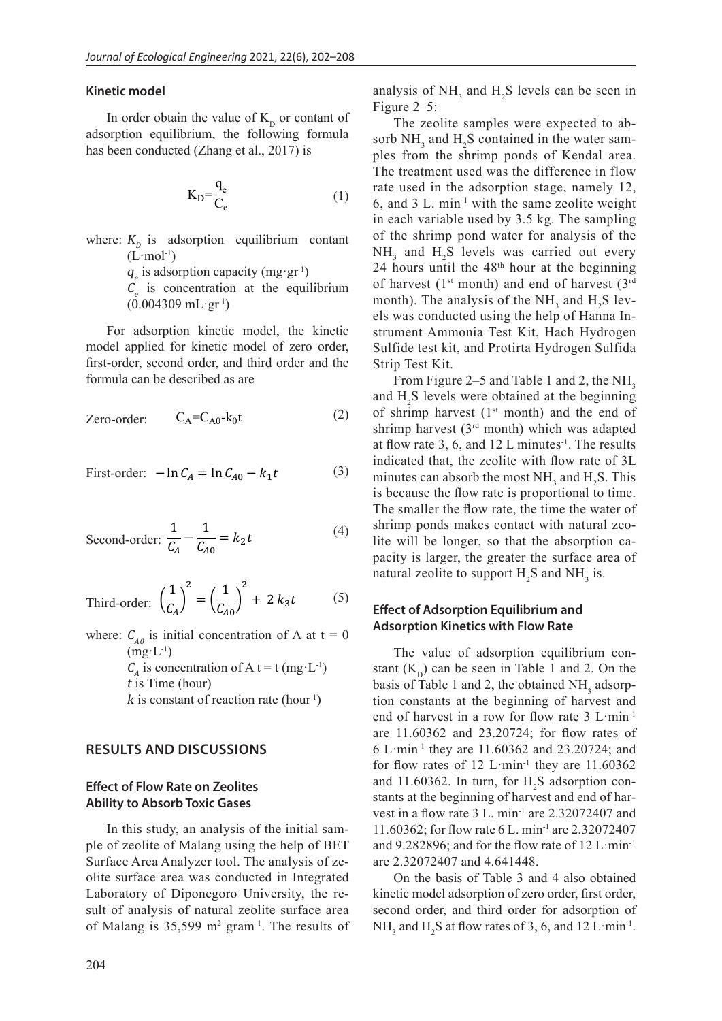#### **Kinetic model**

In order obtain the value of  $K_{\text{D}}$  or contant of adsorption equilibrium, the following formula has been conducted (Zhang et al., 2017) is

$$
K_D = \frac{q_e}{C_{\epsilon}}\tag{1}
$$

where:  $K_p$  is adsorption equilibrium contant  $(L$ ·mol<sup>-1</sup>)

 $q_e$  is adsorption capacity (mg·gr<sup>-1</sup>)

 $C_e$  is concentration at the equilibrium  $(0.004309 \text{ mL} \cdot \text{gr}^1)$ 

For adsorption kinetic model, the kinetic model applied for kinetic model of zero order, first-order, second order, and third order and the formula can be described as are

Zero-order: 
$$
C_A = C_{A0} - k_0 t
$$
 (2)

First-order: 
$$
-\ln C_A = \ln C_{A0} - k_1 t
$$
 (3)

Second-order: 
$$
\frac{1}{C_A} - \frac{1}{C_{A0}} = k_2 t
$$
 (4)

Third-order: 
$$
\left(\frac{1}{C_A}\right)^2 = \left(\frac{1}{C_{A0}}\right)^2 + 2 k_3 t
$$
 (5)

where:  $C_{A0}$  is initial concentration of A at t = 0  $(mg^L^{-1})$  $C_A$  is concentration of A t = t (mg·L<sup>-1</sup>) <sup>t</sup> is Time (hour) k is constant of reaction rate (hour<sup>1</sup>)

# **RESULTS AND DISCUSSIONS**

### **Effect of Flow Rate on Zeolites Ability to Absorb Toxic Gases**

In this study, an analysis of the initial sample of zeolite of Malang using the help of BET Surface Area Analyzer tool. The analysis of zeolite surface area was conducted in Integrated Laboratory of Diponegoro University, the result of analysis of natural zeolite surface area of Malang is  $35,599$  m<sup>2</sup> gram<sup>-1</sup>. The results of analysis of  $NH_3$  and  $H_2S$  levels can be seen in Figure 2–5:

The zeolite samples were expected to absorb  $NH_3$  and  $H_2S$  contained in the water samples from the shrimp ponds of Kendal area. The treatment used was the difference in flow rate used in the adsorption stage, namely 12, 6, and 3 L. min-1 with the same zeolite weight in each variable used by 3.5 kg. The sampling of the shrimp pond water for analysis of the  $NH<sub>3</sub>$  and  $H<sub>2</sub>S$  levels was carried out every 24 hours until the  $48<sup>th</sup>$  hour at the beginning of harvest (1<sup>st</sup> month) and end of harvest (3<sup>rd</sup> month). The analysis of the  $NH<sub>3</sub>$  and  $H<sub>2</sub>S$  levels was conducted using the help of Hanna Instrument Ammonia Test Kit, Hach Hydrogen Sulfide test kit, and Protirta Hydrogen Sulfida Strip Test Kit.

From Figure 2–5 and Table 1 and 2, the NH $_{2}$ and  $H_2S$  levels were obtained at the beginning of shrimp harvest ( $1<sup>st</sup>$  month) and the end of shrimp harvest  $(3<sup>rd</sup>$  month) which was adapted at flow rate 3, 6, and 12 L minutes<sup>-1</sup>. The results indicated that, the zeolite with flow rate of 3L minutes can absorb the most  $NH_3$  and  $H_2S$ . This is because the flow rate is proportional to time. The smaller the flow rate, the time the water of shrimp ponds makes contact with natural zeolite will be longer, so that the absorption capacity is larger, the greater the surface area of natural zeolite to support  $H_2S$  and  $NH_3$  is.

## **Effect of Adsorption Equilibrium and Adsorption Kinetics with Flow Rate**

The value of adsorption equilibrium constant  $(K_n)$  can be seen in Table 1 and 2. On the basis of Table 1 and 2, the obtained  $NH<sub>3</sub>$  adsorption constants at the beginning of harvest and end of harvest in a row for flow rate 3 L·min-1 are 11.60362 and 23.20724; for flow rates of 6 L·min-1 they are 11.60362 and 23.20724; and for flow rates of 12 L $\cdot$ min<sup>-1</sup> they are 11.60362 and 11.60362. In turn, for  $H_2S$  adsorption constants at the beginning of harvest and end of harvest in a flow rate 3 L. min-1 are 2.32072407 and 11.60362; for flow rate 6 L. min-1 are 2.32072407 and 9.282896; and for the flow rate of 12 L·min-1 are 2.32072407 and 4.641448.

On the basis of Table 3 and 4 also obtained kinetic model adsorption of zero order, first order, second order, and third order for adsorption of  $NH<sub>3</sub>$  and  $H<sub>2</sub>S$  at flow rates of 3, 6, and 12 L·min<sup>-1</sup>.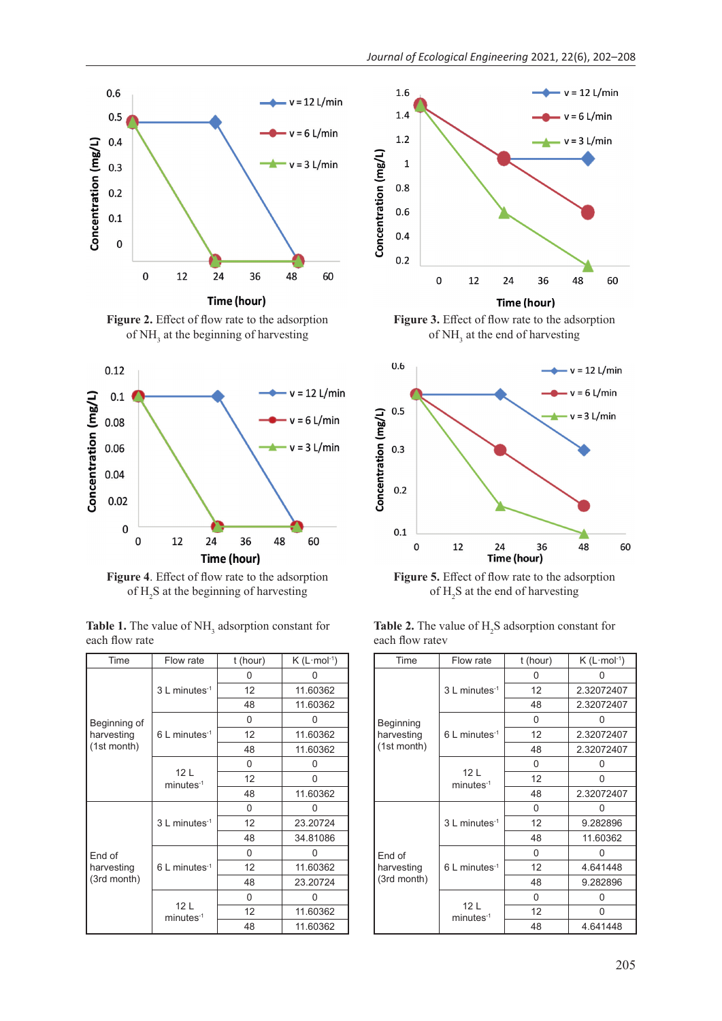

Figure 2. Effect of flow rate to the adsorption of NH<sub>3</sub> at the beginning of harvesting



Figure 4. Effect of flow rate to the adsorption of  $H_2S$  at the beginning of harvesting

| Time                                | Flow rate                      | t (hour) | $K(L \cdot mol^{-1})$ |
|-------------------------------------|--------------------------------|----------|-----------------------|
|                                     | 3 L minutes-1                  | 0        |                       |
|                                     |                                | 12       | 11.60362              |
|                                     |                                | 48       | 11.60362              |
| Beginning of                        | $6$ L minutes <sup>-1</sup>    | 0        | U                     |
| harvesting                          |                                | 12       | 11.60362              |
| (1st month)                         |                                | 48       | 11.60362              |
|                                     |                                | 0        | 0                     |
|                                     | 12L<br>$minutes-1$             | 12       | 0                     |
|                                     |                                | 48       | 11.60362              |
| End of<br>harvesting<br>(3rd month) | 3 L minutes <sup>-1</sup>      | 0        | ი                     |
|                                     |                                | 12       | 23.20724              |
|                                     |                                | 48       | 34.81086              |
|                                     | 6 L minutes-1                  | 0        | 0                     |
|                                     |                                | 12       | 11.60362              |
|                                     |                                | 48       | 23.20724              |
|                                     | 12 <sub>L</sub><br>$minutes-1$ | 0        | 0                     |
|                                     |                                | 12       | 11.60362              |
|                                     |                                | 48       | 11.60362              |

**Table 1.** The value of NH<sub>3</sub> adsorption constant for each flow rate



Figure 3. Effect of flow rate to the adsorption of  $NH<sub>3</sub>$  at the end of harvesting



Figure 5. Effect of flow rate to the adsorption of  $H_2S$  at the end of harvesting

| Time                                | Flow rate                                | t (hour) | $K$ (L $\cdot$ mol $\cdot$ <sup>1</sup> ) |
|-------------------------------------|------------------------------------------|----------|-------------------------------------------|
|                                     | $3 L$ minutes <sup>-1</sup>              | 0        |                                           |
|                                     |                                          | 12       | 2.32072407                                |
|                                     |                                          | 48       | 2.32072407                                |
| Beginning                           | $6$ L minutes <sup>-1</sup>              | 0        | 0                                         |
| harvesting                          |                                          | 12       | 2.32072407                                |
| (1st month)                         |                                          | 48       | 2.32072407                                |
|                                     | 12 <sub>L</sub><br>minutes <sup>-1</sup> | 0        | 0                                         |
|                                     |                                          | 12       | 0                                         |
|                                     |                                          | 48       | 2.32072407                                |
| End of<br>harvesting<br>(3rd month) | 3 L minutes <sup>-1</sup>                | 0        | 0                                         |
|                                     |                                          | 12       | 9.282896                                  |
|                                     |                                          | 48       | 11.60362                                  |
|                                     | $6$ L minutes <sup>-1</sup>              | 0        | 0                                         |
|                                     |                                          | 12       | 4.641448                                  |
|                                     |                                          | 48       | 9.282896                                  |
|                                     | 12 <sub>L</sub><br>$minutes-1$           | 0        | 0                                         |
|                                     |                                          | 12       | U                                         |
|                                     |                                          | 48       | 4.641448                                  |

**Table 2.** The value of  $H_2S$  adsorption constant for each flow ratev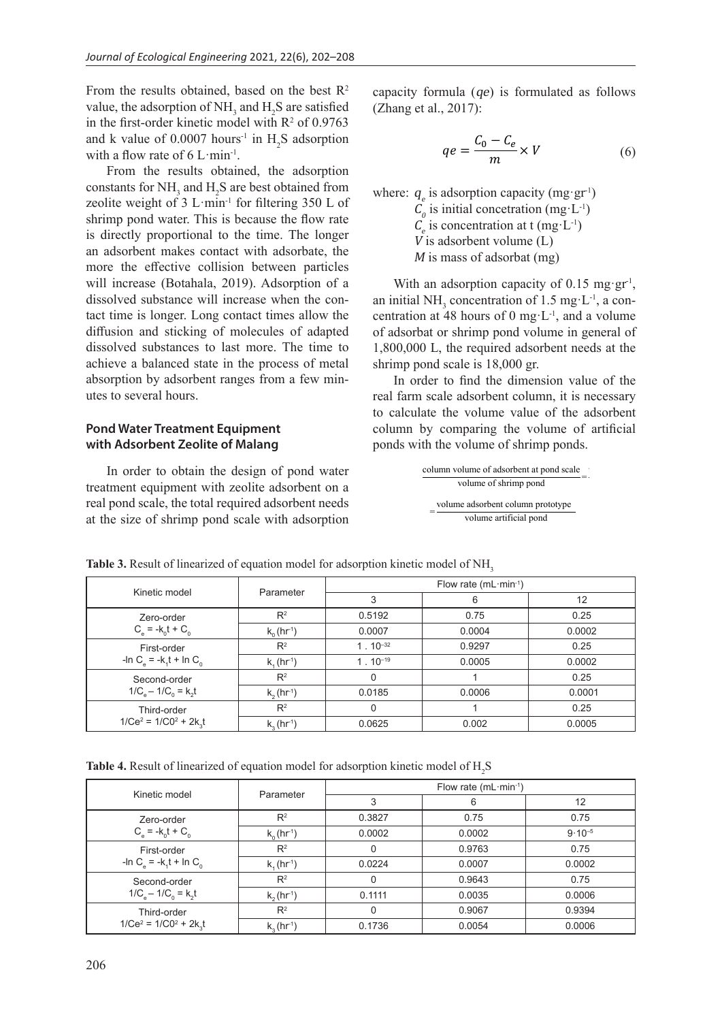From the results obtained, based on the best  $R^2$ value, the adsorption of  $NH_3$  and  $H_2S$  are satisfied in the first-order kinetic model with  $R^2$  of 0.9763 and k value of  $0.0007$  hours<sup>-1</sup> in  $H_2S$  adsorption with a flow rate of  $6 \text{ L·min}$ <sup>1</sup>.

From the results obtained, the adsorption constants for  $NH_3$  and  $H_2S$  are best obtained from zeolite weight of  $3$  L·min<sup>-1</sup> for filtering  $350$  L of shrimp pond water. This is because the flow rate is directly proportional to the time. The longer an adsorbent makes contact with adsorbate, the more the effective collision between particles will increase (Botahala, 2019). Adsorption of a dissolved substance will increase when the contact time is longer. Long contact times allow the diffusion and sticking of molecules of adapted dissolved substances to last more. The time to achieve a balanced state in the process of metal absorption by adsorbent ranges from a few minutes to several hours.

# **Pond Water Treatment Equipment with Adsorbent Zeolite of Malang**

In order to obtain the design of pond water treatment equipment with zeolite adsorbent on a real pond scale, the total required adsorbent needs at the size of shrimp pond scale with adsorption  $\overline{a}$ 

capacity formula (qe) is formulated as follows (Zhang et al., 2017):

$$
qe = \frac{C_0 - C_e}{m} \times V \tag{6}
$$

where:  $q_e$  is adsorption capacity (mg·gr<sup>-1</sup>)  $C_0$  is initial concetration (mg·L<sup>-1</sup>)  $C_e$  is concentration at t (mg·L<sup>-1</sup>) <sup>V</sup> is adsorbent volume (L) <sup>M</sup> is mass of adsorbat (mg)

With an adsorption capacity of 0.15 mg·gr<sup>-1</sup>, an initial NH<sub>3</sub> concentration of 1.5 mg·L<sup>-1</sup>, a concentration at 48 hours of 0 mg·L<sup>-1</sup>, and a volume of adsorbat or shrimp pond volume in general of 1,800,000 L, the required adsorbent needs at the shrimp pond scale is 18,000 gr.

In order to find the dimension value of the real farm scale adsorbent column, it is necessary to calculate the volume value of the adsorbent column by comparing the volume of artificial ponds with the volume of shrimp ponds.

> column volume of adsorbent at pond scale volume of shrimp pond  $=\frac{\text{volume adsorbent column prototype}}{}$ volume artificial pond

| Kinetic model                                                             | Parameter                  | Flow rate $(mL·min-1)$ |        |        |
|---------------------------------------------------------------------------|----------------------------|------------------------|--------|--------|
|                                                                           |                            | 3                      | 6      | 12     |
| Zero-order                                                                | $R^2$                      | 0.5192                 | 0.75   | 0.25   |
| $C_e = -k_0 t + C_0$                                                      | $k_0$ (hr <sup>1</sup> )   | 0.0007                 | 0.0004 | 0.0002 |
| First-order<br>-In C <sub>e</sub> = -k <sub>1</sub> t + In C <sub>0</sub> | $R^2$                      | $1.10^{-32}$           | 0.9297 | 0.25   |
|                                                                           | $k_{1}$ (hr <sup>1</sup> ) | $1.10^{-19}$           | 0.0005 | 0.0002 |
| Second-order                                                              | $R^2$                      | 0                      |        | 0.25   |
| $1/C_e - 1/C_0 = k_2 t$                                                   | $k_2$ (hr <sup>1</sup> )   | 0.0185                 | 0.0006 | 0.0001 |
| Third-order<br>$1/Ce^2 = 1/C0^2 + 2k_1t$                                  | $R^2$                      | 0                      |        | 0.25   |
|                                                                           | $k_3$ (hr <sup>1</sup> )   | 0.0625                 | 0.002  | 0.0005 |

**Table 3.** Result of linearized of equation model for adsorption kinetic model of NH<sub>3</sub>

Table 4. Result of linearized of equation model for adsorption kinetic model of H<sub>2</sub>S

| Kinetic model                                                             | Parameter                 | Flow rate $(mL \cdot min^{-1})$ |        |             |
|---------------------------------------------------------------------------|---------------------------|---------------------------------|--------|-------------|
|                                                                           |                           | 3                               | 6      | 12          |
| Zero-order<br>$C_e = -k_0 t + C_0$                                        | $R^2$                     | 0.3827                          | 0.75   | 0.75        |
|                                                                           | $k_0$ (hr <sup>-1</sup> ) | 0.0002                          | 0.0002 | $9.10^{-5}$ |
| First-order<br>-In C <sub>e</sub> = -k <sub>1</sub> t + In C <sub>0</sub> | $R^2$                     | 0                               | 0.9763 | 0.75        |
|                                                                           | $k_1$ (hr <sup>-1</sup> ) | 0.0224                          | 0.0007 | 0.0002      |
| Second-order                                                              | $R^2$                     | $\Omega$                        | 0.9643 | 0.75        |
| $1/C_e - 1/C_0 = k_2 t$                                                   | $k_2$ (hr <sup>-1</sup> ) | 0.1111                          | 0.0035 | 0.0006      |
| Third-order<br>$1/Ce^2 = 1/C0^2 + 2k_1t$                                  | $R^2$                     | $\Omega$                        | 0.9067 | 0.9394      |
|                                                                           | $k_3$ (hr <sup>-1</sup> ) | 0.1736                          | 0.0054 | 0.0006      |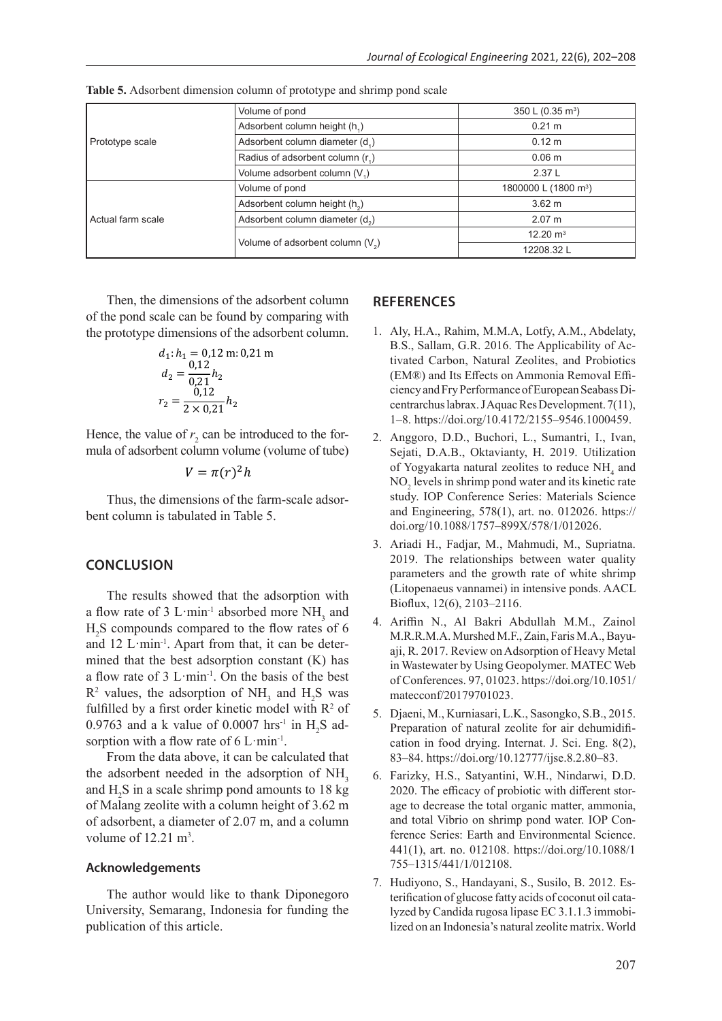| Prototype scale   | Volume of pond                               | 350 L $(0.35 \text{ m}^3)$       |  |
|-------------------|----------------------------------------------|----------------------------------|--|
|                   | Adsorbent column height (h,)                 | $0.21 \text{ m}$                 |  |
|                   | Adsorbent column diameter (d,)               | $0.12 \text{ m}$                 |  |
|                   | Radius of adsorbent column (r <sub>1</sub> ) | 0.06 <sub>m</sub>                |  |
|                   | Volume adsorbent column (V <sub>1</sub> )    | 2.37L                            |  |
| Actual farm scale | Volume of pond                               | 1800000 L (1800 m <sup>3</sup> ) |  |
|                   | Adsorbent column height (h <sub>2</sub> )    | $3.62 \text{ m}$                 |  |
|                   | Adsorbent column diameter (d <sub>2</sub> )  | 2.07 m                           |  |
|                   |                                              | $12.20 \text{ m}^3$              |  |
|                   | Volume of adsorbent column $(V_2)$           | 12208.32 L                       |  |

**Table 5.** Adsorbent dimension column of prototype and shrimp pond scale

Then, the dimensions of the adsorbent column of the pond scale can be found by comparing with the prototype dimensions of the adsorbent column.

$$
d_1: h_1 = 0,12 \text{ m}: 0,21 \text{ m}
$$
  
\n
$$
d_2 = \frac{0,12}{0,21} h_2
$$
  
\n
$$
r_2 = \frac{0,12}{2 \times 0,21} h_2
$$

Hence, the value of  $r_2$  can be introduced to the formula of adsorbent column volume (volume of tube)

$$
V=\pi(r)^2h
$$

Thus, the dimensions of the farm-scale adsorbent column is tabulated in Table 5.

## **CONCLUSION**

The results showed that the adsorption with a flow rate of 3 L·min<sup>-1</sup> absorbed more  $NH_3$  and H2 S compounds compared to the flow rates of 6 and  $12 \text{ L·min}^{-1}$ . Apart from that, it can be determined that the best adsorption constant (K) has a flow rate of 3 L·min-1. On the basis of the best  $R^2$  values, the adsorption of NH<sub>3</sub> and H<sub>2</sub>S was fulfilled by a first order kinetic model with  $\mathbb{R}^2$  of 0.9763 and a k value of 0.0007 hrs<sup>-1</sup> in  $H_2S$  adsorption with a flow rate of  $6 \text{ L·min}^{-1}$ .

From the data above, it can be calculated that the adsorbent needed in the adsorption of  $NH<sub>3</sub>$ and  $H_2S$  in a scale shrimp pond amounts to 18 kg of Malang zeolite with a column height of 3.62 m of adsorbent, a diameter of 2.07 m, and a column volume of  $12.21 \text{ m}^3$ .

#### **Acknowledgements**

The author would like to thank Diponegoro University, Semarang, Indonesia for funding the publication of this article.

#### **REFERENCES**

- 1. Aly, H.A., Rahim, M.M.A, Lotfy, A.M., Abdelaty, B.S., Sallam, G.R. 2016. The Applicability of Activated Carbon, Natural Zeolites, and Probiotics (EM®) and Its Effects on Ammonia Removal Efficiency and Fry Performance of European Seabass Dicentrarchus labrax. J Aquac Res Development. 7(11), 1–8. https://doi.org/10.4172/2155–9546.1000459.
- 2. Anggoro, D.D., Buchori, L., Sumantri, I., Ivan, Sejati, D.A.B., Oktavianty, H. 2019. Utilization of Yogyakarta natural zeolites to reduce  $NH<sub>4</sub>$  and  $NO<sub>2</sub>$  levels in shrimp pond water and its kinetic rate study. IOP Conference Series: Materials Science and Engineering, 578(1), art. no. 012026. https:// doi.org/10.1088/1757–899X/578/1/012026.
- 3. Ariadi H., Fadjar, M., Mahmudi, M., Supriatna. 2019. The relationships between water quality parameters and the growth rate of white shrimp (Litopenaeus vannamei) in intensive ponds. AACL Bioflux, 12(6), 2103–2116.
- 4. Ariffin N., Al Bakri Abdullah M.M., Zainol M.R.R.M.A. Murshed M.F., Zain, Faris M.A., Bayuaji, R. 2017. Review on Adsorption of Heavy Metal in Wastewater by Using Geopolymer. MATEC Web of Conferences. 97, 01023. https://doi.org/10.1051/ matecconf/20179701023.
- 5. Djaeni, M., Kurniasari, L.K., Sasongko, S.B., 2015. Preparation of natural zeolite for air dehumidification in food drying. Internat. J. Sci. Eng. 8(2), 83–84. https://doi.org/10.12777/ijse.8.2.80–83.
- 6. Farizky, H.S., Satyantini, W.H., Nindarwi, D.D. 2020. The efficacy of probiotic with different storage to decrease the total organic matter, ammonia, and total Vibrio on shrimp pond water. IOP Conference Series: Earth and Environmental Science. 441(1), art. no. 012108. https://doi.org/10.1088/1 755–1315/441/1/012108.
- 7. Hudiyono, S., Handayani, S., Susilo, B. 2012. Esterification of glucose fatty acids of coconut oil catalyzed by Candida rugosa lipase EC 3.1.1.3 immobilized on an Indonesia's natural zeolite matrix. World